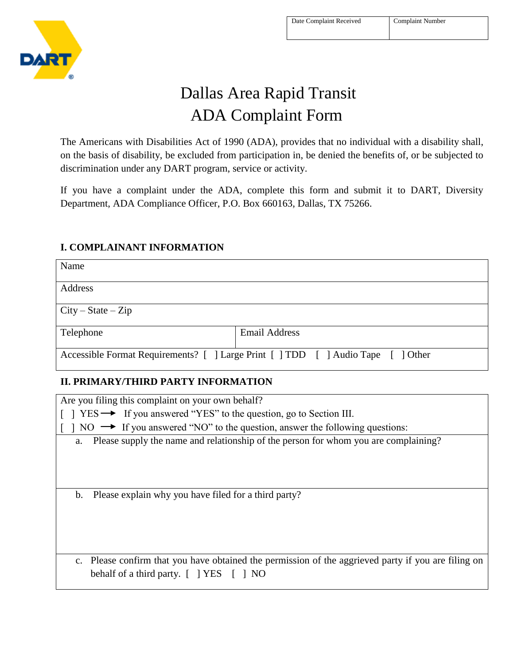

# Dallas Area Rapid Transit ADA Complaint Form

The Americans with Disabilities Act of 1990 (ADA), provides that no individual with a disability shall, on the basis of disability, be excluded from participation in, be denied the benefits of, or be subjected to discrimination under any DART program, service or activity.

If you have a complaint under the ADA, complete this form and submit it to DART, Diversity Department, ADA Compliance Officer, P.O. Box 660163, Dallas, TX 75266.

# Name Address  $City - State - Zip$ Telephone Email Address Accessible Format Requirements? [ ] Large Print [ ] TDD [ ] Audio Tape [ ] Other **II. PRIMARY/THIRD PARTY INFORMATION** Are you filing this complaint on your own behalf?  $\lceil \ \rceil$  YES  $\rightarrow$  If you answered "YES" to the question, go to Section III.  $\lceil$  | NO  $\rightarrow$  If you answered "NO" to the question, answer the following questions: a. Please supply the name and relationship of the person for whom you are complaining? b. Please explain why you have filed for a third party? c. Please confirm that you have obtained the permission of the aggrieved party if you are filing on behalf of a third party. [ ] YES [ ] NO

### **I. COMPLAINANT INFORMATION**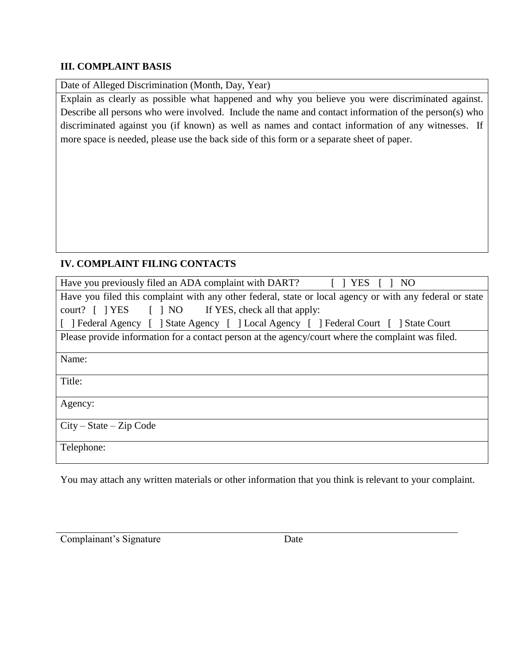#### **III. COMPLAINT BASIS**

Date of Alleged Discrimination (Month, Day, Year)

Explain as clearly as possible what happened and why you believe you were discriminated against. Describe all persons who were involved. Include the name and contact information of the person(s) who discriminated against you (if known) as well as names and contact information of any witnesses. If more space is needed, please use the back side of this form or a separate sheet of paper.

# **IV. COMPLAINT FILING CONTACTS**

| Have you previously filed an ADA complaint with DART? [ ] YES<br>NO                                      |  |  |
|----------------------------------------------------------------------------------------------------------|--|--|
| Have you filed this complaint with any other federal, state or local agency or with any federal or state |  |  |
| court? [ ] YES [ ] NO If YES, check all that apply:                                                      |  |  |
| [ ] Federal Agency [ ] State Agency [ ] Local Agency [ ] Federal Court [ ] State Court                   |  |  |
| Please provide information for a contact person at the agency/court where the complaint was filed.       |  |  |
| Name:                                                                                                    |  |  |
| Title:                                                                                                   |  |  |
| Agency:                                                                                                  |  |  |
| $City - State - Zip Code$                                                                                |  |  |
| Telephone:                                                                                               |  |  |

You may attach any written materials or other information that you think is relevant to your complaint.

Complainant's Signature Date